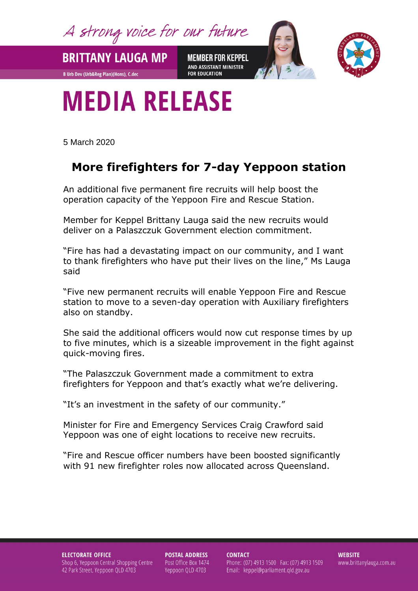A strong voice for our future

**BRITTANY LAUGA MP** 

**B Urb Dev (Urb&Reg Plan)(Hons), C.dec** 

**MEMBER FOR KEPPEL** AND ASSISTANT MINISTER **FOR EDUCATION** 



## **MEDIA RELEASE**

5 March 2020

## **More firefighters for 7-day Yeppoon station**

An additional five permanent fire recruits will help boost the operation capacity of the Yeppoon Fire and Rescue Station.

Member for Keppel Brittany Lauga said the new recruits would deliver on a Palaszczuk Government election commitment.

"Fire has had a devastating impact on our community, and I want to thank firefighters who have put their lives on the line," Ms Lauga said

"Five new permanent recruits will enable Yeppoon Fire and Rescue station to move to a seven-day operation with Auxiliary firefighters also on standby.

She said the additional officers would now cut response times by up to five minutes, which is a sizeable improvement in the fight against quick-moving fires.

"The Palaszczuk Government made a commitment to extra firefighters for Yeppoon and that's exactly what we're delivering.

"It's an investment in the safety of our community."

Minister for Fire and Emergency Services Craig Crawford said Yeppoon was one of eight locations to receive new recruits.

"Fire and Rescue officer numbers have been boosted significantly with 91 new firefighter roles now allocated across Queensland.

**ELECTORATE OFFICE** Shop 6, Yeppoon Central Shopping Centre 42 Park Street, Yeppoon QLD 4703

**POSTAL ADDRESS** Post Office Box 1474 Yeppoon QLD 4703

**CONTACT** Phone: (07) 4913 1500 Fax: (07) 4913 1509 Email: keppel@parliament.qld.gov.au

**WEBSITE** www.brittanylauga.com.au